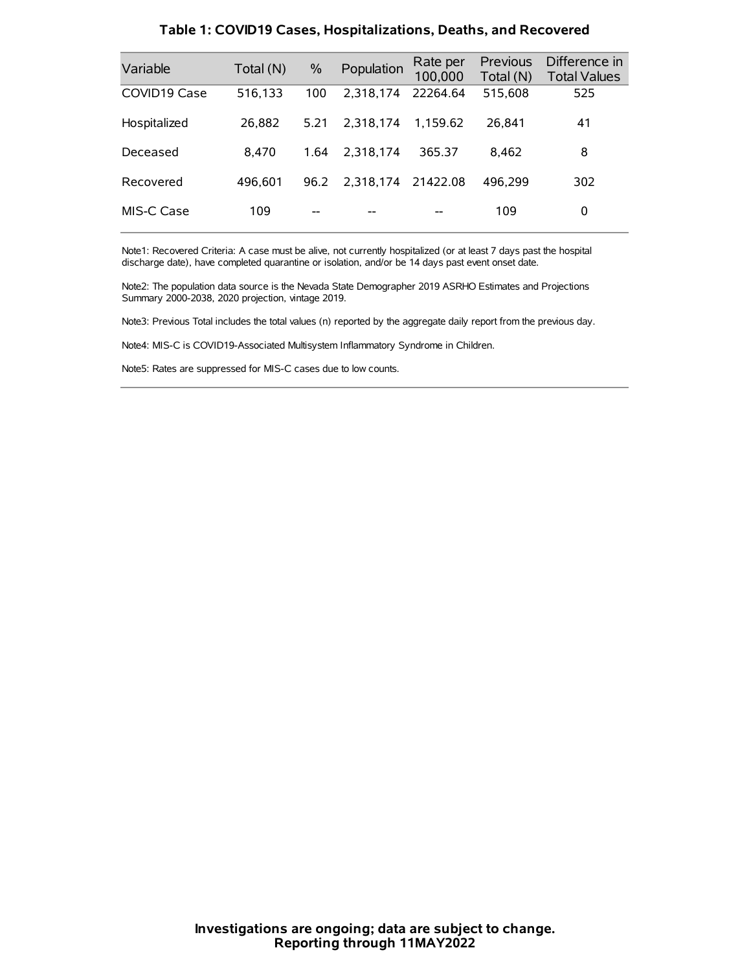| Variable     | Total (N) | $\%$ | Population | Rate per<br>100,000 | Previous<br>Total (N) | Difference in<br><b>Total Values</b> |
|--------------|-----------|------|------------|---------------------|-----------------------|--------------------------------------|
| COVID19 Case | 516,133   | 100  | 2.318.174  | 22264.64            | 515,608               | 525                                  |
| Hospitalized | 26.882    | 5.21 | 2.318.174  | 1.159.62            | 26.841                | 41                                   |
| Deceased     | 8.470     | 1.64 | 2.318.174  | 365.37              | 8.462                 | 8                                    |
| Recovered    | 496,601   | 96.2 | 2.318.174  | 21422.08            | 496.299               | 302                                  |
| MIS-C Case   | 109       | --   |            |                     | 109                   | 0                                    |

#### **Table 1: COVID19 Cases, Hospitalizations, Deaths, and Recovered**

Note1: Recovered Criteria: A case must be alive, not currently hospitalized (or at least 7 days past the hospital discharge date), have completed quarantine or isolation, and/or be 14 days past event onset date.

Note2: The population data source is the Nevada State Demographer 2019 ASRHO Estimates and Projections Summary 2000-2038, 2020 projection, vintage 2019.

Note3: Previous Total includes the total values (n) reported by the aggregate daily report from the previous day.

Note4: MIS-C is COVID19-Associated Multisystem Inflammatory Syndrome in Children.

Note5: Rates are suppressed for MIS-C cases due to low counts.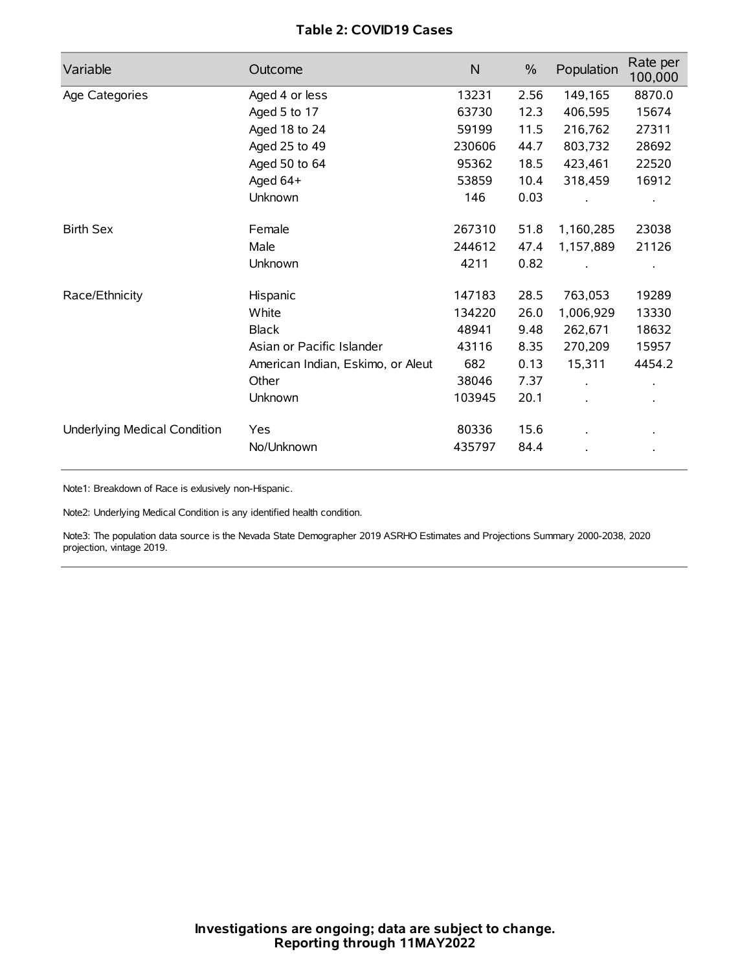# **Table 2: COVID19 Cases**

| Variable                     | Outcome                           | $\mathsf{N}$ | $\%$ | Population | Rate per<br>100,000  |
|------------------------------|-----------------------------------|--------------|------|------------|----------------------|
| Age Categories               | Aged 4 or less                    | 13231        | 2.56 | 149,165    | 8870.0               |
|                              | Aged 5 to 17                      | 63730        | 12.3 | 406,595    | 15674                |
|                              | Aged 18 to 24                     | 59199        | 11.5 | 216,762    | 27311                |
|                              | Aged 25 to 49                     | 230606       | 44.7 | 803,732    | 28692                |
|                              | Aged 50 to 64                     | 95362        | 18.5 | 423,461    | 22520                |
|                              | Aged 64+                          | 53859        | 10.4 | 318,459    | 16912                |
|                              | Unknown                           | 146          | 0.03 |            |                      |
| <b>Birth Sex</b>             | Female                            | 267310       | 51.8 | 1,160,285  | 23038                |
|                              | Male                              | 244612       | 47.4 | 1,157,889  | 21126                |
|                              | Unknown                           | 4211         | 0.82 |            |                      |
| Race/Ethnicity               | Hispanic                          | 147183       | 28.5 | 763,053    | 19289                |
|                              | White                             | 134220       | 26.0 | 1,006,929  | 13330                |
|                              | <b>Black</b>                      | 48941        | 9.48 | 262,671    | 18632                |
|                              | Asian or Pacific Islander         | 43116        | 8.35 | 270,209    | 15957                |
|                              | American Indian, Eskimo, or Aleut | 682          | 0.13 | 15,311     | 4454.2               |
|                              | Other                             | 38046        | 7.37 |            | $\ddot{\phantom{0}}$ |
|                              | Unknown                           | 103945       | 20.1 |            |                      |
| Underlying Medical Condition | Yes                               | 80336        | 15.6 |            |                      |
|                              | No/Unknown                        | 435797       | 84.4 |            |                      |

Note1: Breakdown of Race is exlusively non-Hispanic.

Note2: Underlying Medical Condition is any identified health condition.

Note3: The population data source is the Nevada State Demographer 2019 ASRHO Estimates and Projections Summary 2000-2038, 2020 projection, vintage 2019.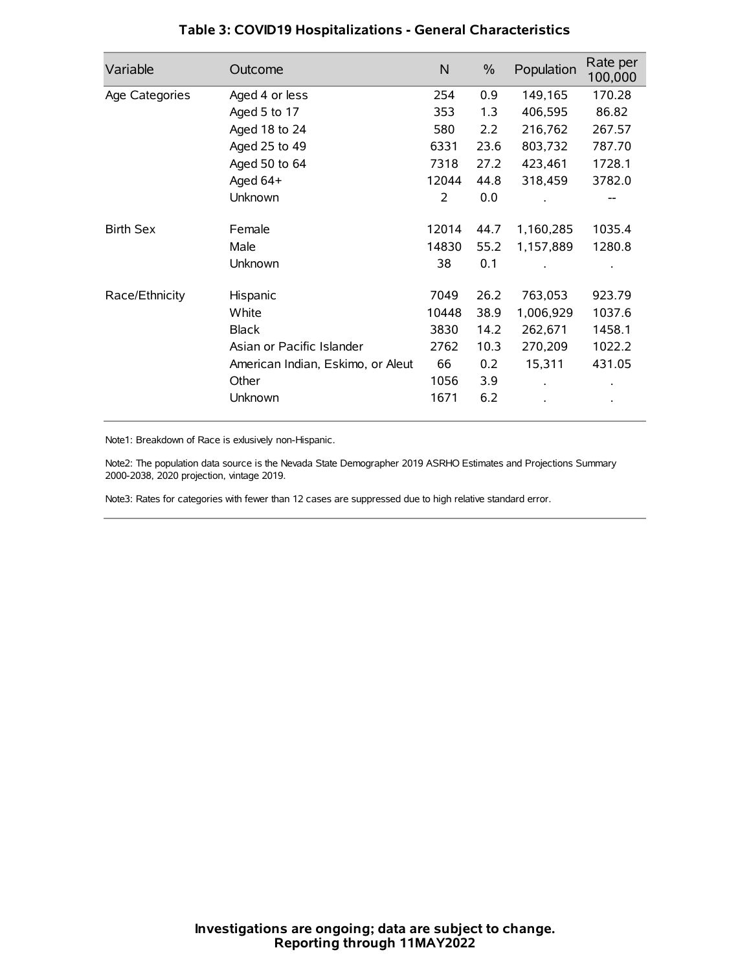| Variable         | Outcome                           | $\mathsf{N}$ | $\%$ | Population | Rate per<br>100,000 |
|------------------|-----------------------------------|--------------|------|------------|---------------------|
| Age Categories   | Aged 4 or less                    | 254          | 0.9  | 149,165    | 170.28              |
|                  | Aged 5 to 17                      | 353          | 1.3  | 406,595    | 86.82               |
|                  | Aged 18 to 24                     | 580          | 2.2  | 216,762    | 267.57              |
|                  | Aged 25 to 49                     | 6331         | 23.6 | 803,732    | 787.70              |
|                  | Aged 50 to 64                     | 7318         | 27.2 | 423,461    | 1728.1              |
|                  | Aged 64+                          | 12044        | 44.8 | 318,459    | 3782.0              |
|                  | Unknown                           | 2            | 0.0  |            | --                  |
| <b>Birth Sex</b> | Female                            | 12014        | 44.7 | 1,160,285  | 1035.4              |
|                  | Male                              | 14830        | 55.2 | 1,157,889  | 1280.8              |
|                  | Unknown                           | 38           | 0.1  |            |                     |
| Race/Ethnicity   | Hispanic                          | 7049         | 26.2 | 763,053    | 923.79              |
|                  | White                             | 10448        | 38.9 | 1,006,929  | 1037.6              |
|                  | <b>Black</b>                      | 3830         | 14.2 | 262,671    | 1458.1              |
|                  | Asian or Pacific Islander         | 2762         | 10.3 | 270,209    | 1022.2              |
|                  | American Indian, Eskimo, or Aleut | 66           | 0.2  | 15,311     | 431.05              |
|                  | Other                             | 1056         | 3.9  |            |                     |
|                  | Unknown                           | 1671         | 6.2  |            |                     |

## **Table 3: COVID19 Hospitalizations - General Characteristics**

Note1: Breakdown of Race is exlusively non-Hispanic.

Note2: The population data source is the Nevada State Demographer 2019 ASRHO Estimates and Projections Summary 2000-2038, 2020 projection, vintage 2019.

Note3: Rates for categories with fewer than 12 cases are suppressed due to high relative standard error.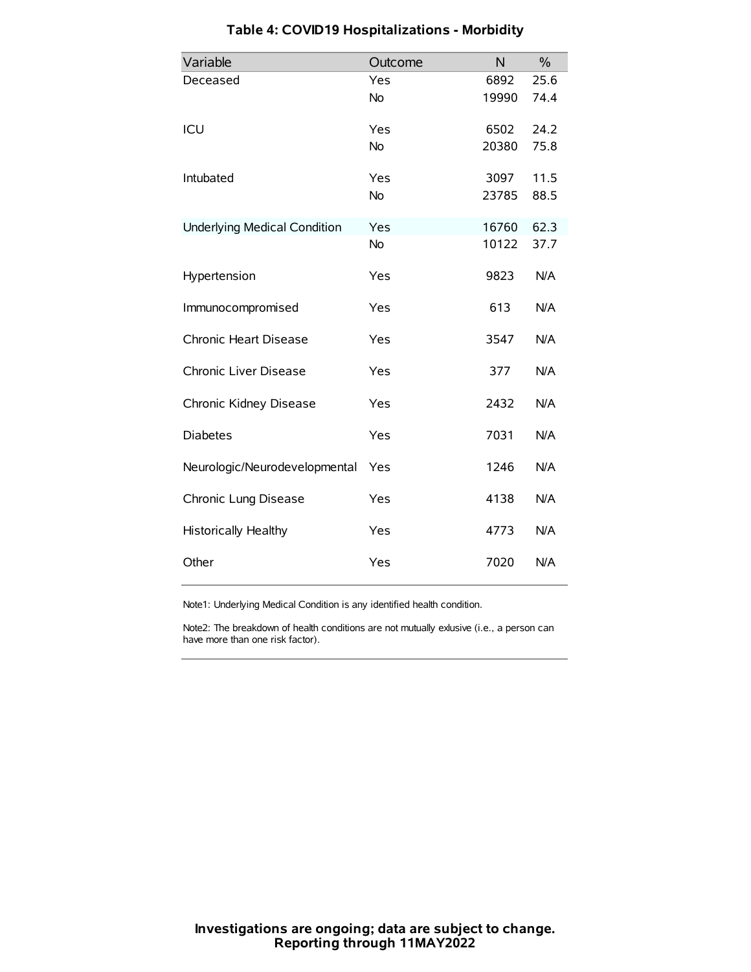| Variable                            | Outcome   | N     | $\frac{0}{0}$ |
|-------------------------------------|-----------|-------|---------------|
| Deceased                            | Yes       | 6892  | 25.6          |
|                                     | No        | 19990 | 74.4          |
| ICU                                 | Yes       | 6502  | 24.2          |
|                                     | <b>No</b> | 20380 | 75.8          |
| Intubated                           | Yes       | 3097  | 11.5          |
|                                     | No        | 23785 | 88.5          |
| <b>Underlying Medical Condition</b> | Yes       | 16760 | 62.3          |
|                                     | <b>No</b> | 10122 | 37.7          |
| Hypertension                        | Yes       | 9823  | N/A           |
| Immunocompromised                   | Yes       | 613   | N/A           |
| Chronic Heart Disease               | Yes       | 3547  | N/A           |
| Chronic Liver Disease               | Yes       | 377   | N/A           |
| Chronic Kidney Disease              | Yes       | 2432  | N/A           |
| <b>Diabetes</b>                     | Yes       | 7031  | N/A           |
| Neurologic/Neurodevelopmental       | Yes       | 1246  | N/A           |
| Chronic Lung Disease                | Yes       | 4138  | N/A           |
| Historically Healthy                | Yes       | 4773  | N/A           |
| Other                               | Yes       | 7020  | N/A           |

# **Table 4: COVID19 Hospitalizations - Morbidity**

Note1: Underlying Medical Condition is any identified health condition.

Note2: The breakdown of health conditions are not mutually exlusive (i.e., a person can have more than one risk factor).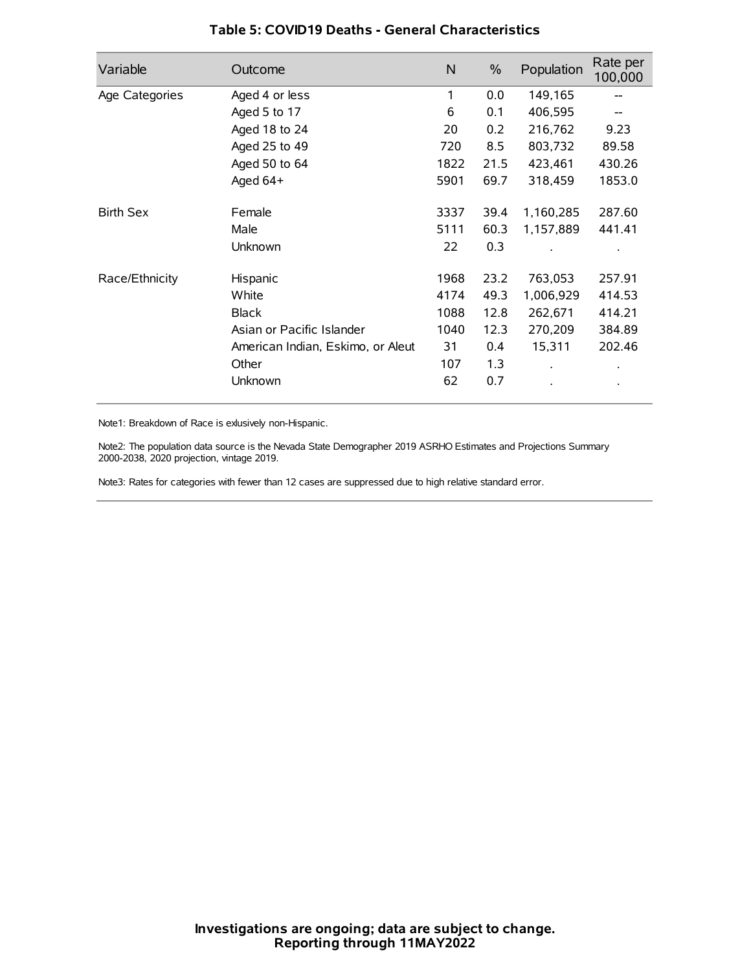| Variable         | Outcome                           | $\mathsf{N}$ | $\%$ | Population           | Rate per<br>100,000 |
|------------------|-----------------------------------|--------------|------|----------------------|---------------------|
| Age Categories   | Aged 4 or less                    | 1            | 0.0  | 149,165              |                     |
|                  | Aged 5 to 17                      | 6            | 0.1  | 406,595              |                     |
|                  | Aged 18 to 24                     | 20           | 0.2  | 216,762              | 9.23                |
|                  | Aged 25 to 49                     | 720          | 8.5  | 803,732              | 89.58               |
|                  | Aged 50 to 64                     | 1822         | 21.5 | 423,461              | 430.26              |
|                  | Aged 64+                          | 5901         | 69.7 | 318,459              | 1853.0              |
| <b>Birth Sex</b> | Female                            | 3337         | 39.4 | 1,160,285            | 287.60              |
|                  | Male                              | 5111         | 60.3 | 1,157,889            | 441.41              |
|                  | Unknown                           | 22           | 0.3  |                      |                     |
| Race/Ethnicity   | Hispanic                          | 1968         | 23.2 | 763,053              | 257.91              |
|                  | White                             | 4174         | 49.3 | 1,006,929            | 414.53              |
|                  | <b>Black</b>                      | 1088         | 12.8 | 262,671              | 414.21              |
|                  | Asian or Pacific Islander         | 1040         | 12.3 | 270,209              | 384.89              |
|                  | American Indian, Eskimo, or Aleut | 31           | 0.4  | 15,311               | 202.46              |
|                  | Other                             | 107          | 1.3  | $\ddot{\phantom{0}}$ | $\bullet$           |
|                  | Unknown                           | 62           | 0.7  |                      | $\bullet$           |

## **Table 5: COVID19 Deaths - General Characteristics**

Note1: Breakdown of Race is exlusively non-Hispanic.

Note2: The population data source is the Nevada State Demographer 2019 ASRHO Estimates and Projections Summary 2000-2038, 2020 projection, vintage 2019.

Note3: Rates for categories with fewer than 12 cases are suppressed due to high relative standard error.